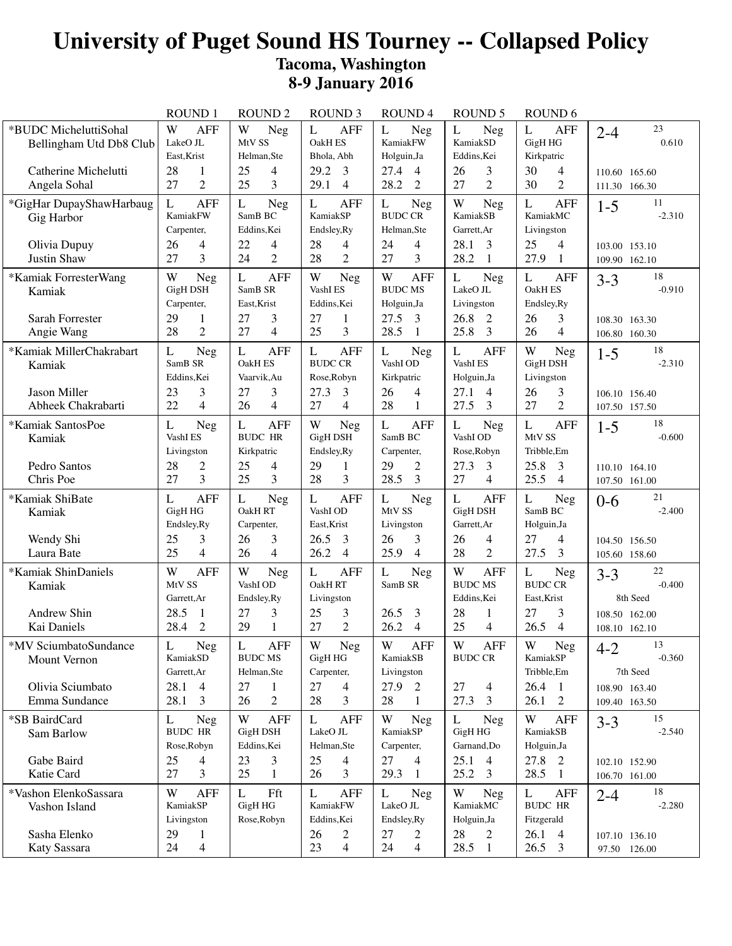## **University of Puget Sound HS Tourney -- Collapsed Policy Tacoma, Washington 8-9 January 2016**

|                                                  | <b>ROUND1</b>                                        | <b>ROUND 2</b>                                               | <b>ROUND 3</b>                                             | <b>ROUND4</b>                                    | <b>ROUND 5</b>                                               | ROUND <sub>6</sub>                                         |                                       |
|--------------------------------------------------|------------------------------------------------------|--------------------------------------------------------------|------------------------------------------------------------|--------------------------------------------------|--------------------------------------------------------------|------------------------------------------------------------|---------------------------------------|
| *BUDC MicheluttiSohal<br>Bellingham Utd Db8 Club | W<br><b>AFF</b><br>LakeO JL<br>East, Krist           | W<br><b>Neg</b><br>MtV SS<br>Helman, Ste                     | L<br><b>AFF</b><br>OakH ES<br>Bhola, Abh<br>$\overline{3}$ | L<br><b>Neg</b><br>KamiakFW<br>Holguin, Ja       | L<br>Neg<br>KamiakSD<br>Eddins, Kei                          | L<br><b>AFF</b><br>GigH HG<br>Kirkpatric                   | 23<br>$2 - 4$<br>0.610                |
| Catherine Michelutti<br>Angela Sohal             | 28<br>$\mathbf{1}$<br>$\overline{2}$<br>27           | 25<br>4<br>3<br>25                                           | 29.2<br>29.1<br>$\overline{4}$                             | 27.4<br>$\overline{4}$<br>28.2<br>$\overline{2}$ | 3<br>26<br>$\overline{2}$<br>27                              | 30<br>4<br>30<br>$\overline{2}$                            | 110.60 165.60<br>111.30 166.30        |
| *GigHar DupayShawHarbaug<br>Gig Harbor           | L<br><b>AFF</b><br>KamiakFW<br>Carpenter,            | L<br><b>Neg</b><br>SamB BC<br>Eddins, Kei                    | <b>AFF</b><br>L<br>KamiakSP<br>Endsley, Ry                 | L<br>Neg<br><b>BUDC CR</b><br>Helman, Ste        | W<br>Neg<br>KamiakSB<br>Garrett, Ar                          | $\mathbf{L}$<br><b>AFF</b><br>KamiakMC<br>Livingston       | 11<br>$1 - 5$<br>$-2.310$             |
| Olivia Dupuy<br>Justin Shaw                      | 26<br>4<br>3<br>27                                   | 22<br>4<br>$\overline{2}$<br>24                              | 28<br>4<br>28<br>2                                         | 24<br>4<br>3<br>27                               | 28.1<br>3<br>28.2<br>1                                       | 25<br>4<br>27.9<br>-1                                      | 103.00 153.10<br>109.90 162.10        |
| *Kamiak ForresterWang<br>Kamiak                  | W<br>Neg<br><b>GigH DSH</b><br>Carpenter,            | $\mathbf{L}$<br><b>AFF</b><br>SamB SR<br>East, Krist         | W<br>Neg<br>VashI ES<br>Eddins, Kei                        | W<br><b>AFF</b><br><b>BUDC MS</b><br>Holguin, Ja | L<br><b>Neg</b><br>LakeO JL<br>Livingston                    | L<br><b>AFF</b><br><b>OakH ES</b><br>Endsley, Ry           | 18<br>$3 - 3$<br>$-0.910$             |
| Sarah Forrester<br>Angie Wang                    | 29<br>1<br>$\overline{2}$<br>28                      | 27<br>3<br>$\overline{4}$<br>27                              | 27<br>1<br>3<br>25                                         | 27.5<br>3<br>28.5<br>$\mathbf{1}$                | 26.8<br>2<br>25.8<br>3                                       | 26<br>3<br>26<br>4                                         | 108.30 163.30<br>106.80 160.30        |
| *Kamiak MillerChakrabart<br>Kamiak               | L<br><b>Neg</b><br>SamB <sub>SR</sub><br>Eddins, Kei | L<br><b>AFF</b><br><b>OakH ES</b><br>Vaarvik, Au             | L<br><b>AFF</b><br><b>BUDC CR</b><br>Rose, Robyn           | L<br><b>Neg</b><br>VashI OD<br>Kirkpatric        | L<br><b>AFF</b><br>VashI ES<br>Holguin, Ja                   | W<br><b>Neg</b><br><b>GigH DSH</b><br>Livingston           | 18<br>$1 - 5$<br>$-2.310$             |
| Jason Miller<br>Abheek Chakrabarti               | 23<br>3<br>22<br>$\overline{4}$                      | 3<br>27<br>$\overline{4}$<br>26                              | 27.3<br>3<br>27<br>$\overline{4}$                          | 26<br>4<br>28<br>$\mathbf{1}$                    | 27.1<br>4<br>27.5<br>3                                       | 26<br>3<br>$\overline{2}$<br>27                            | 106.10 156.40<br>107.50 157.50        |
| *Kamiak SantosPoe<br>Kamiak                      | L<br><b>Neg</b><br>VashI ES<br>Livingston            | L<br><b>AFF</b><br><b>BUDC HR</b><br>Kirkpatric              | W<br>Neg<br>GigH DSH<br>Endsley, Ry                        | L<br><b>AFF</b><br>SamB BC<br>Carpenter,         | L<br>Neg<br>VashI OD<br>Rose, Robyn                          | L<br><b>AFF</b><br>MtV SS<br>Tribble, Em                   | 18<br>$1 - 5$<br>$-0.600$             |
| Pedro Santos<br>Chris Poe                        | 28<br>$\overline{c}$<br>3<br>27                      | 25<br>4<br>3<br>25                                           | 29<br>1<br>28<br>3                                         | $\overline{2}$<br>29<br>28.5<br>3                | 27.3<br>3<br>27<br>$\overline{4}$                            | 25.8<br>$\overline{3}$<br>25.5<br>$\overline{4}$           | 110.10 164.10<br>107.50 161.00        |
| *Kamiak ShiBate<br>Kamiak                        | <b>AFF</b><br>L<br>GigH HG<br>Endsley, Ry            | $\mathbf{L}$<br><b>Neg</b><br>OakH RT<br>Carpenter,          | <b>AFF</b><br>L<br>VashI OD<br>East, Krist                 | L<br><b>Neg</b><br>MtV SS<br>Livingston          | $\mathbf{L}$<br><b>AFF</b><br><b>GigH DSH</b><br>Garrett, Ar | L<br>Neg<br>SamB BC<br>Holguin, Ja                         | 21<br>$0 - 6$<br>$-2.400$             |
| Wendy Shi<br>Laura Bate                          | 3<br>25<br>$\overline{4}$<br>25                      | 3<br>26<br>$\overline{4}$<br>26                              | 26.5<br>3<br>26.2<br>$\overline{4}$                        | 26<br>3<br>25.9<br>$\overline{4}$                | 26<br>4<br>$\overline{2}$<br>28                              | 27<br>4<br>27.5<br>3                                       | 104.50 156.50<br>105.60 158.60        |
| *Kamiak ShinDaniels<br>Kamiak                    | W<br><b>AFF</b><br>MtV SS<br>Garrett, Ar             | W<br>Neg<br>VashI OD<br>Endsley, Ry                          | L<br><b>AFF</b><br>OakH RT<br>Livingston                   | $\mathbf L$<br><b>Neg</b><br>SamB SR             | W<br><b>AFF</b><br><b>BUDC MS</b><br>Eddins, Kei             | $\mathbf L$<br><b>Neg</b><br><b>BUDC CR</b><br>East, Krist | 22<br>$3 - 3$<br>$-0.400$<br>8th Seed |
| Andrew Shin<br>Kai Daniels                       | 28.5<br>1<br>$\overline{2}$<br>28.4                  | 27<br>3<br>$\mathbf{1}$<br>29                                | 25<br>3<br>27<br>$\overline{2}$                            | 26.5<br>3<br>26.2<br>$\overline{4}$              | 28<br>1<br>25<br>$\overline{4}$                              | 27<br>3<br>26.5<br>4                                       | 108.50 162.00<br>108.10 162.10        |
| *MV SciumbatoSundance<br>Mount Vernon            | $\mathbf L$<br>Neg<br>KamiakSD<br>Garrett, Ar        | $\mathbf{L}$<br>${\sf AFF}$<br><b>BUDC MS</b><br>Helman, Ste | $\mathbf W$<br>Neg<br>GigH HG<br>Carpenter,                | W<br>AFF<br>KamiakSB<br>Livingston               | $\ensuremath{\text{W}}$<br>${\sf AFF}$<br><b>BUDC CR</b>     | W<br>Neg<br>KamiakSP<br>Tribble, Em                        | 13<br>$4 - 2$<br>$-0.360$<br>7th Seed |
| Olivia Sciumbato<br>Emma Sundance                | 28.1 4<br>28.1<br>$\overline{3}$                     | $\mathbf{1}$<br>27<br>$\overline{2}$<br>26                   | 27<br>$\overline{4}$<br>3<br>28                            | 27.9 2<br>28<br>1                                | 27<br>4<br>27.3<br>3                                         | $26.4 \quad 1$<br>$26.1\quad 2$                            | 108.90 163.40<br>109.40 163.50        |
| *SB BairdCard<br>Sam Barlow                      | L<br>Neg<br><b>BUDC HR</b><br>Rose, Robyn            | W<br><b>AFF</b><br><b>GigH DSH</b><br>Eddins, Kei            | L<br><b>AFF</b><br>LakeO JL<br>Helman, Ste                 | W<br><b>Neg</b><br>KamiakSP<br>Carpenter,        | L<br>Neg<br>GigH HG<br>Garnand, Do                           | W<br><b>AFF</b><br>KamiakSB<br>Holguin, Ja                 | 15<br>$3 - 3$<br>$-2.540$             |
| Gabe Baird<br>Katie Card                         | 25<br>4<br>3<br>27                                   | 23<br>3<br>25<br>$\mathbf{1}$                                | 25<br>$\overline{4}$<br>3<br>26                            | 27<br>$\overline{4}$<br>29.3<br>$\mathbf{1}$     | 25.1 4<br>$25.2 \quad 3$                                     | 27.8 2<br>28.5 1                                           | 102.10 152.90<br>106.70 161.00        |
| *Vashon ElenkoSassara<br>Vashon Island           | W<br><b>AFF</b><br>KamiakSP<br>Livingston            | L<br>Fft<br>GigH HG<br>Rose, Robyn                           | L<br><b>AFF</b><br>KamiakFW<br>Eddins, Kei                 | L<br><b>Neg</b><br>LakeO JL<br>Endsley, Ry       | W<br><b>Neg</b><br>KamiakMC<br>Holguin, Ja                   | L<br><b>AFF</b><br><b>BUDC HR</b><br>Fitzgerald            | 18<br>$2 - 4$<br>$-2.280$             |
| Sasha Elenko<br>Katy Sassara                     | 29<br>1<br>24<br>4                                   |                                                              | 26<br>2<br>23<br>$\overline{4}$                            | 27<br>2<br>24<br>4                               | 28<br>2<br>28.5 1                                            | 26.1 4<br>$26.5\quad 3$                                    | 107.10 136.10<br>97.50 126.00         |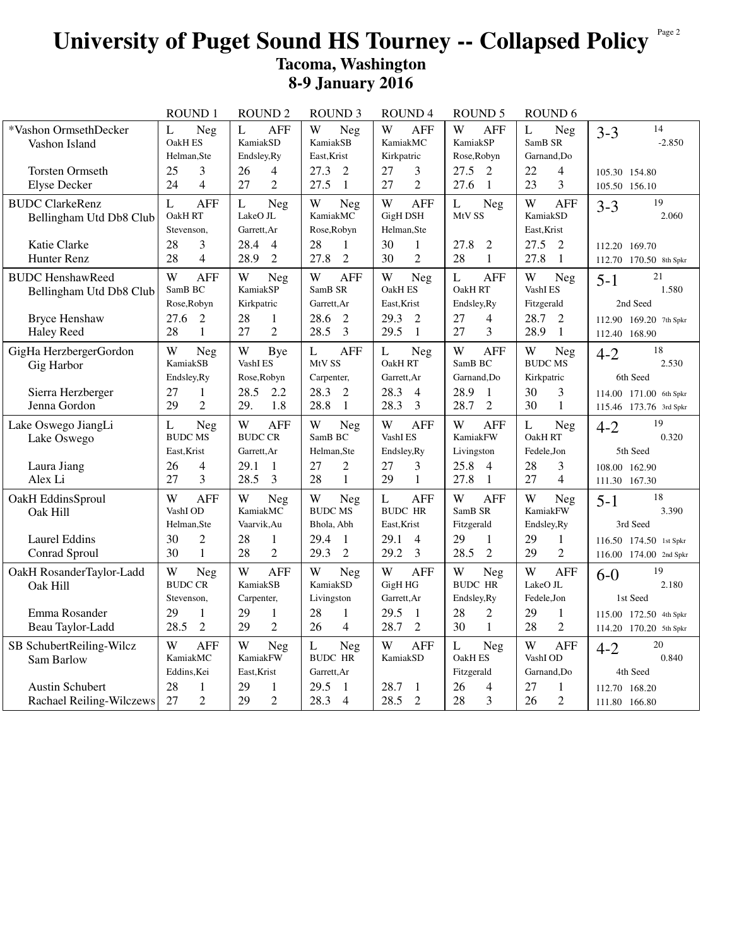## University of Puget Sound HS Tourney -- Collapsed Policy<sup>Page 2</sup> **Tacoma, Washington 8-9 January 2016**

|                                                                                                 | <b>ROUND1</b>                                                                             | <b>ROUND 2</b>                                                                          | <b>ROUND 3</b>                                                                                           | <b>ROUND4</b>                                                                                     | ROUND <sub>5</sub>                                                                          | ROUND <sub>6</sub>                                                                |                                                                                        |
|-------------------------------------------------------------------------------------------------|-------------------------------------------------------------------------------------------|-----------------------------------------------------------------------------------------|----------------------------------------------------------------------------------------------------------|---------------------------------------------------------------------------------------------------|---------------------------------------------------------------------------------------------|-----------------------------------------------------------------------------------|----------------------------------------------------------------------------------------|
| *Vashon OrmsethDecker<br>Vashon Island                                                          | L<br>Neg<br>OakH ES<br>Helman, Ste                                                        | L<br><b>AFF</b><br>KamiakSD<br>Endsley, Ry                                              | W<br>Neg<br>KamiakSB<br>East, Krist                                                                      | W<br>AFF<br>KamiakMC<br>Kirkpatric                                                                | W<br>AFF<br>KamiakSP<br>Rose, Robyn                                                         | L<br>Neg<br>SamB SR<br>Garnand, Do                                                | 14<br>$3 - 3$<br>$-2.850$                                                              |
| <b>Torsten Ormseth</b><br><b>Elyse Decker</b>                                                   | 3<br>25<br>$\overline{\mathcal{L}}$<br>24                                                 | 26<br>4<br>$\overline{2}$<br>27                                                         | 27.3<br>2<br>27.5<br>-1                                                                                  | $\mathfrak{Z}$<br>27<br>$\overline{2}$<br>27                                                      | 27.5<br>2<br>27.6<br>$\mathbf{1}$                                                           | 22<br>4<br>23<br>3                                                                | 105.30 154.80<br>105.50 156.10                                                         |
| <b>BUDC</b> ClarkeRenz<br>Bellingham Utd Db8 Club                                               | $\mathbf L$<br><b>AFF</b><br>OakH RT<br>Stevenson.                                        | $\mathbf{L}$<br>Neg<br>LakeO JL<br>Garrett, Ar                                          | W<br>Neg<br>KamiakMC<br>Rose, Robyn                                                                      | W<br><b>AFF</b><br><b>GigH DSH</b><br>Helman, Ste                                                 | $\mathbf{L}$<br>Neg<br>MtV SS                                                               | W<br><b>AFF</b><br>KamiakSD<br>East, Krist                                        | 19<br>$3 - 3$<br>2.060                                                                 |
| Katie Clarke<br>Hunter Renz                                                                     | 28<br>3<br>28<br>$\overline{4}$                                                           | 28.4<br>$\overline{4}$<br>$\overline{2}$<br>28.9                                        | 28<br>$\mathbf 1$<br>$\overline{2}$<br>27.8                                                              | 30<br>$\mathbf{1}$<br>30<br>$\overline{2}$                                                        | 27.8<br>$\overline{2}$<br>$\mathbf{1}$<br>28                                                | 27.5<br>2<br>27.8<br>$\mathbf{1}$                                                 | 112.20 169.70<br>112.70 170.50 8th Spkr                                                |
| <b>BUDC HenshawReed</b><br>Bellingham Utd Db8 Club<br><b>Bryce Henshaw</b><br><b>Haley Reed</b> | W<br><b>AFF</b><br>SamB BC<br>Rose, Robyn<br>27.6<br>$\overline{2}$<br>28<br>$\mathbf{1}$ | W<br>Neg<br>KamiakSP<br>Kirkpatric<br>28<br>1<br>$\overline{2}$<br>27                   | W<br><b>AFF</b><br>SamB <sub>SR</sub><br>Garrett, Ar<br>28.6<br>$\overline{2}$<br>$\overline{3}$<br>28.5 | W<br>Neg<br>OakH ES<br>East.Krist<br>29.3<br>$\overline{2}$<br>29.5<br>$\mathbf{1}$               | $\mathbf{L}$<br><b>AFF</b><br>OakH RT<br>Endsley, Ry<br>27<br>4<br>3<br>27                  | W<br>Neg<br>VashI ES<br>Fitzgerald<br>28.7<br>2<br>28.9<br>$\mathbf{1}$           | 21<br>$5 - 1$<br>1.580<br>2nd Seed<br>112.90 169.20 7th Spkr<br>112.40 168.90          |
| GigHa HerzbergerGordon<br>Gig Harbor<br>Sierra Herzberger<br>Jenna Gordon                       | W<br><b>Neg</b><br>KamiakSB<br>Endsley, Ry<br>27<br>1<br>$\overline{2}$<br>29             | W<br>Bye<br>VashI ES<br>Rose, Robyn<br>28.5<br>2.2<br>1.8<br>29.                        | <b>AFF</b><br>L<br>MtV SS<br>Carpenter,<br>28.3<br>$\overline{2}$<br>28.8<br>$\mathbf{1}$                | $\mathbf{L}$<br><b>Neg</b><br>OakH RT<br>Garrett, Ar<br>28.3<br>$\overline{4}$<br>28.3<br>3       | W<br><b>AFF</b><br>SamB BC<br>Garnand, Do<br>28.9<br>1<br>28.7<br>$\overline{2}$            | W<br><b>Neg</b><br><b>BUDC MS</b><br>Kirkpatric<br>30<br>3<br>30<br>1             | 18<br>$4 - 2$<br>2.530<br>6th Seed<br>114.00 171.00 6th Spkr<br>115.46 173.76 3rd Spkr |
| Lake Oswego JiangLi<br>Lake Oswego<br>Laura Jiang<br>Alex Li                                    | Neg<br>L<br><b>BUDC MS</b><br>East, Krist<br>$\overline{4}$<br>26<br>27<br>3              | W<br><b>AFF</b><br><b>BUDC CR</b><br>Garrett, Ar<br>29.1<br>1<br>$\mathfrak{Z}$<br>28.5 | W<br>Neg<br>SamB BC<br>Helman, Ste<br>2<br>27<br>28<br>$\mathbf{1}$                                      | <b>AFF</b><br>W<br>VashI ES<br>Endsley, Ry<br>27<br>3<br>29<br>$\mathbf{1}$                       | W<br><b>AFF</b><br>KamiakFW<br>Livingston<br>25.8<br>$\overline{4}$<br>27.8<br>$\mathbf{1}$ | L<br>Neg<br>OakH RT<br>Fedele, Jon<br>3<br>28<br>27<br>$\overline{4}$             | 19<br>$4 - 2$<br>0.320<br>5th Seed<br>108.00 162.90<br>111.30 167.30                   |
| OakH EddinsSproul<br>Oak Hill<br><b>Laurel Eddins</b><br>Conrad Sproul                          | W<br><b>AFF</b><br>VashI OD<br>Helman, Ste<br>$\overline{2}$<br>30<br>30<br>$\mathbf{1}$  | W<br>Neg<br>KamiakMC<br>Vaarvik, Au<br>28<br>$\mathbf{1}$<br>$\overline{c}$<br>28       | W<br><b>Neg</b><br><b>BUDC MS</b><br>Bhola, Abh<br>29.4<br>$\mathbf{1}$<br>29.3<br>2                     | $\mathbf L$<br><b>AFF</b><br><b>BUDC HR</b><br>East, Krist<br>29.1<br>$\overline{4}$<br>29.2<br>3 | W<br><b>AFF</b><br>SamB SR<br>Fitzgerald<br>29<br>$\mathbf{1}$<br>$\overline{2}$<br>28.5    | W<br>Neg<br>KamiakFW<br>Endsley, Ry<br>29<br>$\mathbf{1}$<br>$\overline{2}$<br>29 | 18<br>$5 - 1$<br>3.390<br>3rd Seed<br>116.50 174.50 1st Spkr<br>116.00 174.00 2nd Spkr |
| OakH RosanderTaylor-Ladd<br>Oak Hill<br>Emma Rosander                                           | W<br>Neg<br><b>BUDC CR</b><br>Stevenson,<br>29<br>$\mathbf{1}$                            | W<br><b>AFF</b><br>KamiakSB<br>Carpenter,<br>29<br>1                                    | W<br>Neg<br>KamiakSD<br>Livingston<br>28<br>$\mathbf{1}$                                                 | W<br><b>AFF</b><br>GigH HG<br>Garrett, Ar<br>29.5<br>$\mathbf{1}$                                 | W<br>Neg<br><b>BUDC HR</b><br>Endsley, Ry<br>28<br>$\mathbf{2}$                             | W<br><b>AFF</b><br>LakeO JL<br>Fedele, Jon<br>29<br>$\mathbf{1}$                  | 19<br>$6-0$<br>2.180<br>1st Seed<br>115.00 172.50 4th Spkr                             |
| Beau Taylor-Ladd                                                                                | $\overline{2}$<br>28.5                                                                    | $\overline{2}$<br>29                                                                    | $\overline{4}$<br>26                                                                                     | $\overline{2}$<br>28.7                                                                            | 30<br>$\mathbf{1}$                                                                          | $\overline{2}$<br>28                                                              | 114.20 170.20 5th Spkr                                                                 |
| SB SchubertReiling-Wilcz<br>Sam Barlow                                                          | W<br><b>AFF</b><br>KamiakMC<br>Eddins, Kei                                                | W<br><b>Neg</b><br>KamiakFW<br>East, Krist                                              | $\mathbf{L}$<br>Neg<br><b>BUDC HR</b><br>Garrett, Ar                                                     | W<br><b>AFF</b><br>KamiakSD                                                                       | $\mathbf{L}$<br><b>Neg</b><br>OakH ES<br>Fitzgerald                                         | W<br><b>AFF</b><br>VashI OD<br>Garnand, Do                                        | 20<br>$4 - 2$<br>0.840<br>4th Seed                                                     |
| Austin Schubert<br>Rachael Reiling-Wilczews                                                     | 28<br>1<br>$\overline{2}$<br>27                                                           | 29<br>1<br>29<br>$\overline{2}$                                                         | 29.5<br>1<br>28.3<br>$\overline{4}$                                                                      | 28.7<br>$\mathbf{1}$<br>$\overline{2}$<br>28.5                                                    | 26<br>4<br>3<br>28                                                                          | 27<br>1<br>$\overline{2}$<br>26                                                   | 112.70 168.20<br>111.80 166.80                                                         |